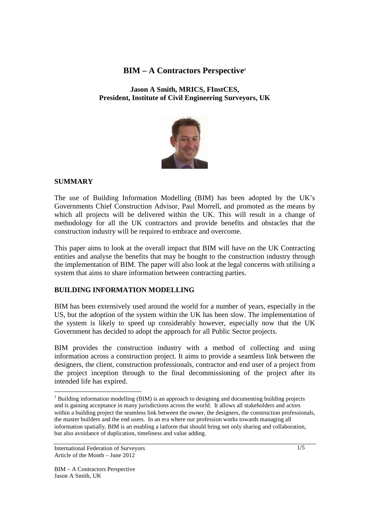# **BIM – A Contractors Perspective<sup>1</sup>**

**Jason A Smith, MRICS, FInstCES, President, Institute of Civil Engineering Surveyors, UK**



## **SUMMARY**

The use of Building Information Modelling (BIM) has been adopted by the UK's Governments Chief Construction Advisor, Paul Morrell, and promoted as the means by which all projects will be delivered within the UK. This will result in a change of methodology for all the UK contractors and provide benefits and obstacles that the construction industry will be required to embrace and overcome.

This paper aims to look at the overall impact that BIM will have on the UK Contracting entities and analyse the benefits that may be bought to the construction industry through the implementation of BIM. The paper will also look at the legal concerns with utilising a system that aims to share information between contracting parties.

## **BUILDING INFORMATION MODELLING**

BIM has been extensively used around the world for a number of years, especially in the US, but the adoption of the system within the UK has been slow. The implementation of the system is likely to speed up considerably however, especially now that the UK Government has decided to adopt the approach for all Public Sector projects.

BIM provides the construction industry with a method of collecting and using information across a construction project. It aims to provide a seamless link between the designers, the client, construction professionals, contractor and end user of a project from the project inception through to the final decommissioning of the project after its intended life has expired.

TERU INCOLLET THE UNIVERSITY OF THE UNIVERSITY OF THE UNIVERSITY OF THE UNIVERSITY OF THE UNIVERSITY OF THE UNI<br>Tend of the significant documenting the substitution of the same of the same of the same of the state of the s and is gaining acceptance in many jurisdictions across the world. It allows all stakeholders and actors within a building project the seamless link between the owner, the designers, the construction professionals, the master builders and the end users. In an era where our profession works towards managing all information spatially, BIM is an enabling a latform that should bring not only sharing and collaboration, but also avoidance of duplication, timeliness and value adding.

International Federation of Surveyors Article of the Month – June 2012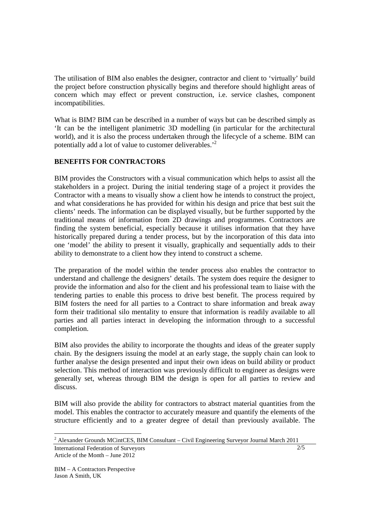The utilisation of BIM also enables the designer, contractor and client to 'virtually' build the project before construction physically begins and therefore should highlight areas of concern which may effect or prevent construction, i.e. service clashes, component incompatibilities.

What is BIM? BIM can be described in a number of ways but can be described simply as 'It can be the intelligent planimetric 3D modelling (in particular for the architectural world), and it is also the process undertaken through the lifecycle of a scheme. BIM can potentially add a lot of value to customer deliverables.'<sup>2</sup>

## **BENEFITS FOR CONTRACTORS**

BIM provides the Constructors with a visual communication which helps to assist all the stakeholders in a project. During the initial tendering stage of a project it provides the Contractor with a means to visually show a client how he intends to construct the project, and what considerations he has provided for within his design and price that best suit the clients' needs. The information can be displayed visually, but be further supported by the traditional means of information from 2D drawings and programmes. Contractors are finding the system beneficial, especially because it utilises information that they have historically prepared during a tender process, but by the incorporation of this data into one 'model' the ability to present it visually, graphically and sequentially adds to their ability to demonstrate to a client how they intend to construct a scheme.

The preparation of the model within the tender process also enables the contractor to understand and challenge the designers' details. The system does require the designer to provide the information and also for the client and his professional team to liaise with the tendering parties to enable this process to drive best benefit. The process required by BIM fosters the need for all parties to a Contract to share information and break away form their traditional silo mentality to ensure that information is readily available to all parties and all parties interact in developing the information through to a successful completion.

BIM also provides the ability to incorporate the thoughts and ideas of the greater supply chain. By the designers issuing the model at an early stage, the supply chain can look to further analyse the design presented and input their own ideas on build ability or product selection. This method of interaction was previously difficult to engineer as designs were generally set, whereas through BIM the design is open for all parties to review and discuss.

BIM will also provide the ability for contractors to abstract material quantities from the model. This enables the contractor to accurately measure and quantify the elements of the structure efficiently and to a greater degree of detail than previously available. The

International Federation of Surveyors 2 Alexander Grounds MCintCES, BIM Consultant – Civil Engineering Surveyor Journal March 2011

Article of the Month – June 2012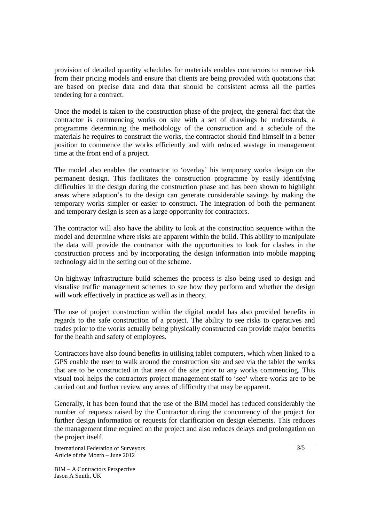provision of detailed quantity schedules for materials enables contractors to remove risk from their pricing models and ensure that clients are being provided with quotations that are based on precise data and data that should be consistent across all the parties tendering for a contract.

Once the model is taken to the construction phase of the project, the general fact that the contractor is commencing works on site with a set of drawings he understands, a programme determining the methodology of the construction and a schedule of the materials he requires to construct the works, the contractor should find himself in a better position to commence the works efficiently and with reduced wastage in management time at the front end of a project.

The model also enables the contractor to 'overlay' his temporary works design on the permanent design. This facilitates the construction programme by easily identifying difficulties in the design during the construction phase and has been shown to highlight areas where adaption's to the design can generate considerable savings by making the temporary works simpler or easier to construct. The integration of both the permanent and temporary design is seen as a large opportunity for contractors.

The contractor will also have the ability to look at the construction sequence within the model and determine where risks are apparent within the build. This ability to manipulate the data will provide the contractor with the opportunities to look for clashes in the construction process and by incorporating the design information into mobile mapping technology aid in the setting out of the scheme.

On highway infrastructure build schemes the process is also being used to design and visualise traffic management schemes to see how they perform and whether the design will work effectively in practice as well as in theory.

The use of project construction within the digital model has also provided benefits in regards to the safe construction of a project. The ability to see risks to operatives and trades prior to the works actually being physically constructed can provide major benefits for the health and safety of employees.

Contractors have also found benefits in utilising tablet computers, which when linked to a GPS enable the user to walk around the construction site and see via the tablet the works that are to be constructed in that area of the site prior to any works commencing. This visual tool helps the contractors project management staff to 'see' where works are to be carried out and further review any areas of difficulty that may be apparent.

Generally, it has been found that the use of the BIM model has reduced considerably the number of requests raised by the Contractor during the concurrency of the project for further design information or requests for clarification on design elements. This reduces the management time required on the project and also reduces delays and prolongation on the project itself.

International Federation of Surveyors Article of the Month – June 2012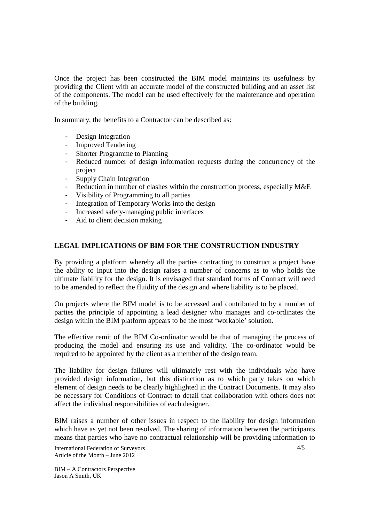Once the project has been constructed the BIM model maintains its usefulness by providing the Client with an accurate model of the constructed building and an asset list of the components. The model can be used effectively for the maintenance and operation of the building.

In summary, the benefits to a Contractor can be described as:

- Design Integration
- Improved Tendering
- Shorter Programme to Planning
- Reduced number of design information requests during the concurrency of the project
- Supply Chain Integration
- Reduction in number of clashes within the construction process, especially M&E
- Visibility of Programming to all parties
- Integration of Temporary Works into the design
- Increased safety-managing public interfaces
- Aid to client decision making

## **LEGAL IMPLICATIONS OF BIM FOR THE CONSTRUCTION INDUSTRY**

By providing a platform whereby all the parties contracting to construct a project have the ability to input into the design raises a number of concerns as to who holds the ultimate liability for the design. It is envisaged that standard forms of Contract will need to be amended to reflect the fluidity of the design and where liability is to be placed.

On projects where the BIM model is to be accessed and contributed to by a number of parties the principle of appointing a lead designer who manages and co-ordinates the design within the BIM platform appears to be the most 'workable' solution.

The effective remit of the BIM Co-ordinator would be that of managing the process of producing the model and ensuring its use and validity. The co-ordinator would be required to be appointed by the client as a member of the design team.

The liability for design failures will ultimately rest with the individuals who have provided design information, but this distinction as to which party takes on which element of design needs to be clearly highlighted in the Contract Documents. It may also be necessary for Conditions of Contract to detail that collaboration with others does not affect the individual responsibilities of each designer.

BIM raises a number of other issues in respect to the liability for design information which have as yet not been resolved. The sharing of information between the participants means that parties who have no contractual relationship will be providing information to